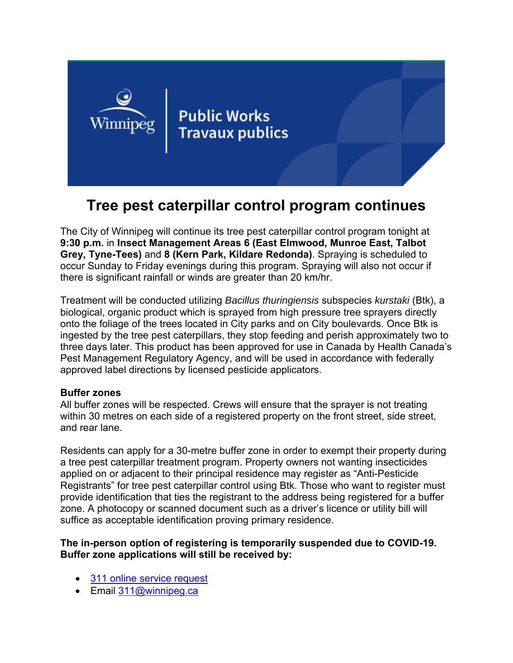

# **Tree pest caterpillar control program continues**

The City of Winnipeg will continue its tree pest caterpillar control program tonight at **9:30 p.m.** in **Insect Management Areas 6 (East Elmwood, Munroe East, Talbot Grey, Tyne-Tees)** and **8 (Kern Park, Kildare Redonda)**. Spraying is scheduled to occur Sunday to Friday evenings during this program. Spraying will also not occur if there is significant rainfall or winds are greater than 20 km/hr.

Treatment will be conducted utilizing *Bacillus thuringiensis* subspecies *kurstaki* (Btk), a biological, organic product which is sprayed from high pressure tree sprayers directly onto the foliage of the trees located in City parks and on City boulevards. Once Btk is ingested by the tree pest caterpillars, they stop feeding and perish approximately two to three days later. This product has been approved for use in Canada by Health Canada's Pest Management Regulatory Agency, and will be used in accordance with federally approved label directions by licensed pesticide applicators.

#### **Buffer zones**

All buffer zones will be respected. Crews will ensure that the sprayer is not treating within 30 metres on each side of a registered property on the front street, side street, and rear lane.

Residents can apply for a 30-metre buffer zone in order to exempt their property during a tree pest caterpillar treatment program. Property owners not wanting insecticides applied on or adjacent to their principal residence may register as "Anti-Pesticide Registrants" for tree pest caterpillar control using Btk. Those who want to register must provide identification that ties the registrant to the address being registered for a buffer zone. A photocopy or scanned document such as a driver's licence or utility bill will suffice as acceptable identification proving primary residence.

### **The in-person option of registering is temporarily suspended due to COVID-19. Buffer zone applications will still be received by:**

- 311 online service request
- Email 311@winnipeg.ca